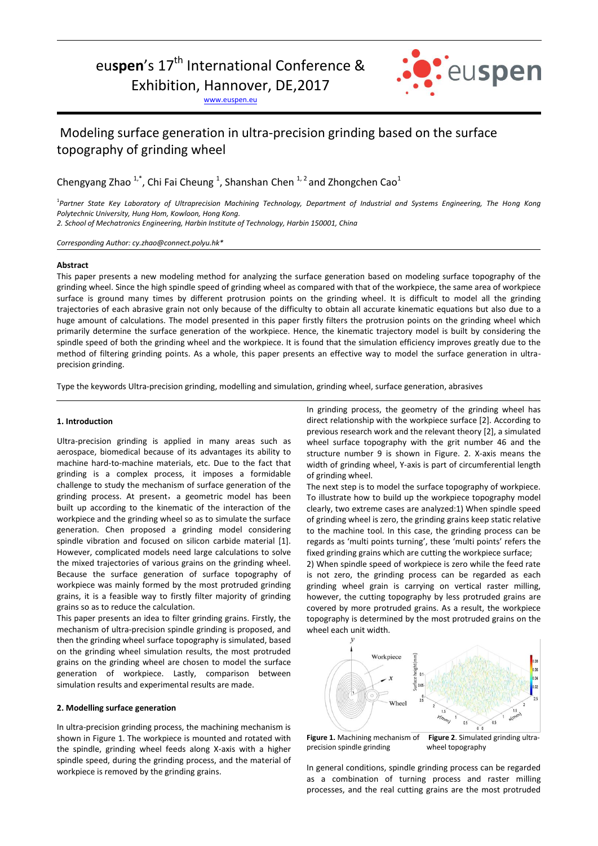# eu**spen**'s 17<sup>th</sup> International Conference &

Exhibition, Hannover, DE,2017

[www.euspen.eu](http://www.euspen.eu/)



# Modeling surface generation in ultra-precision grinding based on the surface topography of grinding wheel

Chengyang Zhao  $1^*$ , Chi Fai Cheung  $1$ , Shanshan Chen  $1^2$  and Zhongchen Cao<sup>1</sup>

<sup>1</sup>Partner State Key Laboratory of Ultraprecision Machining Technology, Department of Industrial and Systems Engineering, The Hong Kong *Polytechnic University, Hung Hom, Kowloon, Hong Kong.*

*2. School of Mechatronics Engineering, Harbin Institute of Technology, Harbin 150001, China*

*Corresponding Author: cy.zhao@connect.polyu.hk\**

#### **Abstract**

Ī

This paper presents a new modeling method for analyzing the surface generation based on modeling surface topography of the grinding wheel. Since the high spindle speed of grinding wheel as compared with that of the workpiece, the same area of workpiece surface is ground many times by different protrusion points on the grinding wheel. It is difficult to model all the grinding trajectories of each abrasive grain not only because of the difficulty to obtain all accurate kinematic equations but also due to a huge amount of calculations. The model presented in this paper firstly filters the protrusion points on the grinding wheel which primarily determine the surface generation of the workpiece. Hence, the kinematic trajectory model is built by considering the spindle speed of both the grinding wheel and the workpiece. It is found that the simulation efficiency improves greatly due to the method of filtering grinding points. As a whole, this paper presents an effective way to model the surface generation in ultraprecision grinding.

Type the keywords Ultra-precision grinding, modelling and simulation, grinding wheel, surface generation, abrasives

#### **1. Introduction**

Ultra-precision grinding is applied in many areas such as aerospace, biomedical because of its advantages its ability to machine hard-to-machine materials, etc. Due to the fact that grinding is a complex process, it imposes a formidable challenge to study the mechanism of surface generation of the grinding process. At present, a geometric model has been built up according to the kinematic of the interaction of the workpiece and the grinding wheel so as to simulate the surface generation. Chen proposed a grinding model considering spindle vibration and focused on silicon carbide material [1]. However, complicated models need large calculations to solve the mixed trajectories of various grains on the grinding wheel. Because the surface generation of surface topography of workpiece was mainly formed by the most protruded grinding grains, it is a feasible way to firstly filter majority of grinding grains so as to reduce the calculation.

This paper presents an idea to filter grinding grains. Firstly, the mechanism of ultra-precision spindle grinding is proposed, and then the grinding wheel surface topography is simulated, based on the grinding wheel simulation results, the most protruded grains on the grinding wheel are chosen to model the surface generation of workpiece. Lastly, comparison between simulation results and experimental results are made.

# **2. Modelling surface generation**

In ultra-precision grinding process, the machining mechanism is shown in Figure 1. The workpiece is mounted and rotated with the spindle, grinding wheel feeds along X-axis with a higher spindle speed, during the grinding process, and the material of workpiece is removed by the grinding grains.

In grinding process, the geometry of the grinding wheel has direct relationship with the workpiece surface [2]. According to previous research work and the relevant theory [2], a simulated wheel surface topography with the grit number 46 and the structure number 9 is shown in Figure. 2. X-axis means the width of grinding wheel, Y-axis is part of circumferential length of grinding wheel.

The next step is to model the surface topography of workpiece. To illustrate how to build up the workpiece topography model clearly, two extreme cases are analyzed:1) When spindle speed of grinding wheel is zero, the grinding grains keep static relative to the machine tool. In this case, the grinding process can be regards as 'multi points turning', these 'multi points' refers the fixed grinding grains which are cutting the workpiece surface;

2) When spindle speed of workpiece is zero while the feed rate is not zero, the grinding process can be regarded as each grinding wheel grain is carrying on vertical raster milling, however, the cutting topography by less protruded grains are covered by more protruded grains. As a result, the workpiece topography is determined by the most protruded grains on the wheel each unit width.



**Figure 1.** Machining mechanism of **Figure 2**. Simulated grinding ultraprecision spindle grinding wheel topography

In general conditions, spindle grinding process can be regarded as a combination of turning process and raster milling processes, and the real cutting grains are the most protruded